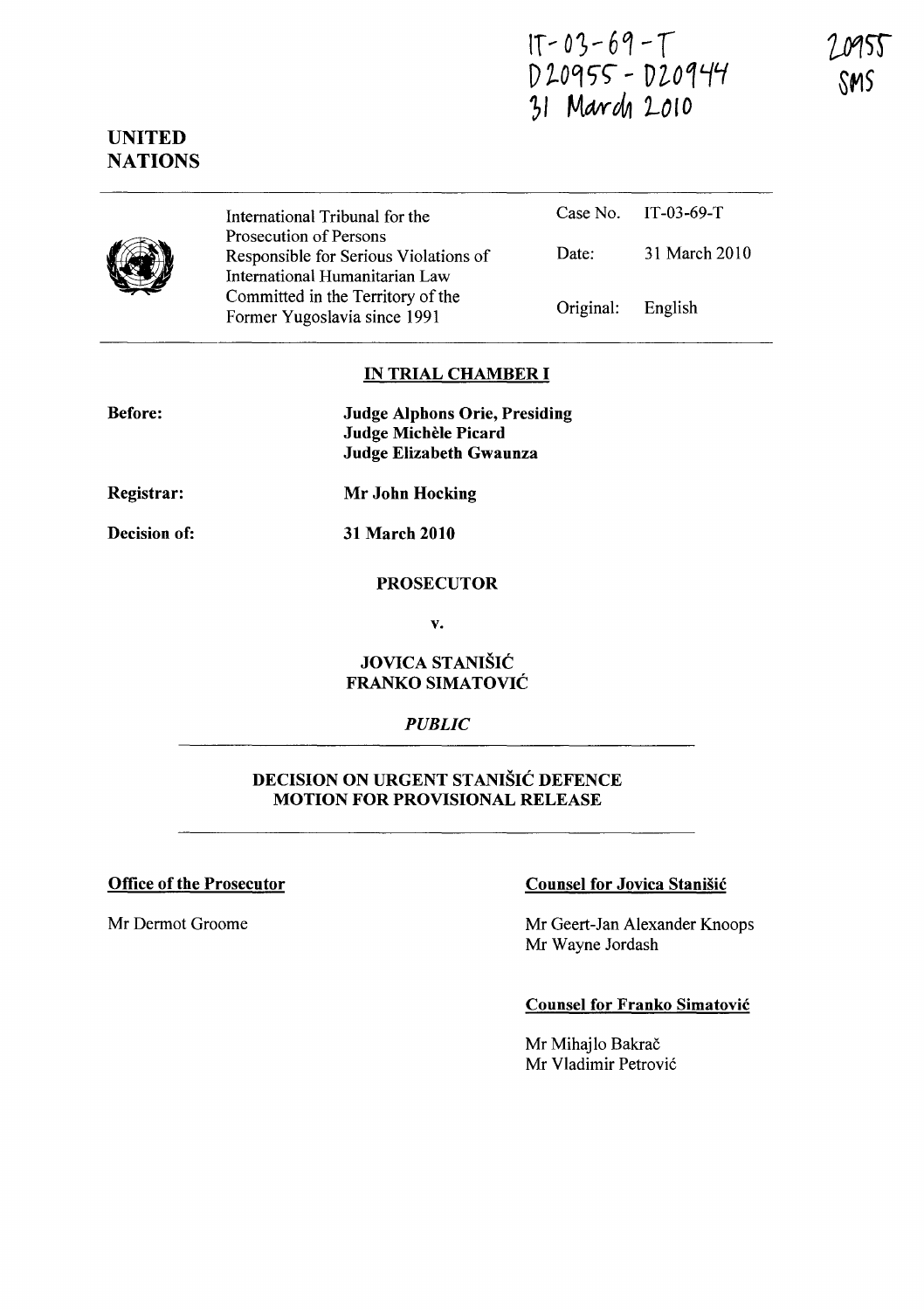$1T - 03 - 69 - T$ D 20955 - D 20944 31 March 2010

# **NATIONS**

UNITED



International Tribunal for the Prosecution of Persons Responsible for Serious Violations of International Humanitarian Law Committed in the Territory of the Former Yugoslavia since 1991

Case No. IT-03-69-T Date: 31 March 2010 Original: English

# IN TRIAL CHAMBER **I**

Before:

Judge Alphons Orie, Presiding Judge Michèle Picard Judge Elizabeth Gwaunza

Registrar:

Mr John Hocking

31 March 2010

Decision of:

# PROSECUTOR

v.

#### JOVICA STANIŠIĆ FRANKO SIMATOVIC

#### *PUBLIC*

#### DECISION ON URGENT STANISIC DEFENCE MOTION FOR PROVISIONAL RELEASE

Office of the Prosecutor Counsel for Jovica Stanisic

Mr Dermot Groome Mr Geert-Jan Alexander Knoops Mr Wayne Jordash

#### Counsel for Franko Simatovic

Mr Mihajlo Bakrač Mr Vladimir Petrović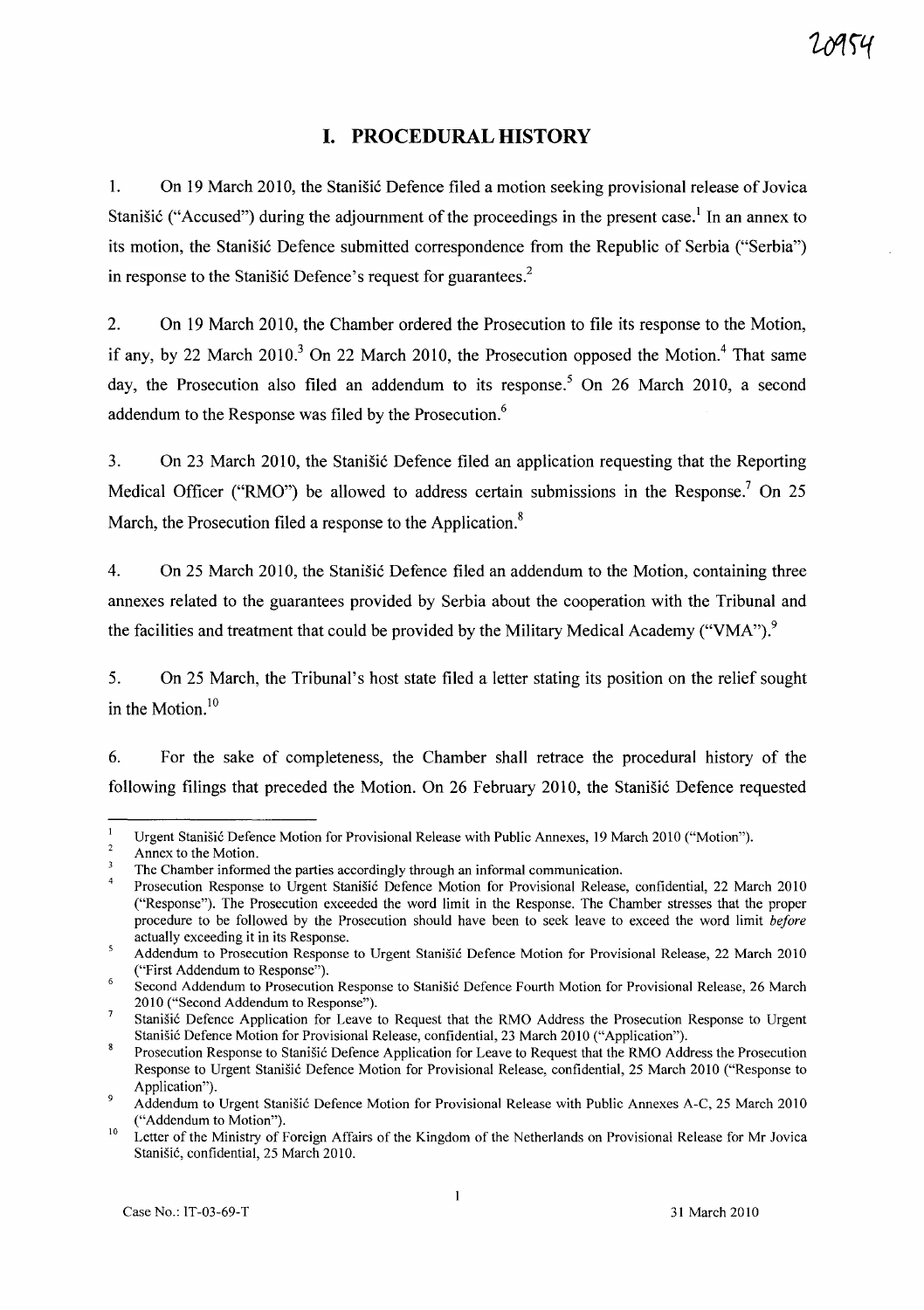# **I. PROCEDURAL HISTORY**

1. On 19 March 2010, the Stanisic Defence filed a motion seeking provisional release of Jovica Stanišić ("Accused") during the adjournment of the proceedings in the present case.<sup>1</sup> In an annex to its motion, the Stanišić Defence submitted correspondence from the Republic of Serbia ("Serbia") in response to the Stanisic Defence's request for guarantees.<sup>2</sup>

2. On 19 March 2010, the Chamber ordered the Prosecution to file its response to the Motion, if any, by 22 March 2010.<sup>3</sup> On 22 March 2010, the Prosecution opposed the Motion.<sup>4</sup> That same day, the Prosecution also filed an addendum to its response.<sup>5</sup> On 26 March 2010, a second addendum to the Response was filed by the Prosecution.<sup>6</sup>

3. On 23 March 2010, the Stanisic Defence filed an application requesting that the Reporting Medical Officer ("RMO") be allowed to address certain submissions in the Response.<sup>7</sup> On 25 March, the Prosecution filed a response to the Application.<sup>8</sup>

4. On 25 March 2010, the Stanišić Defence filed an addendum to the Motion, containing three annexes related to the guarantees provided by Serbia about the cooperation with the Tribunal and the facilities and treatment that could be provided by the Military Medical Academy ("VMA").<sup>9</sup>

5. On 25 March, the Tribunal's host state filed a letter stating its position on the relief sought in the Motion. $10$ 

6. For the sake of completeness, the Chamber shall retrace the procedural history of the following filings that preceded the Motion. On 26 February 2010, the Stanisic Defence requested

 $\blacksquare$ Urgent Stanišić Defence Motion for Provisional Release with Public Annexes, 19 March 2010 ("Motion").

 $\overline{2}$ Annex to the Motion.

 $\overline{\mathbf{3}}$ The Chamber informed the parties accordingly through an informal communication.

Prosecution Response to Urgent Stanišić Defence Motion for Provisional Release, confidential, 22 March 2010 ("Response"). The Prosecution exceeded the word limit in the Response. The Chamber stresses that the proper procedure to be followed by the Prosecution should have been to seek leave to exceed the word limit *before*  actually exceeding it in its Response.

<sup>5</sup> Addendum to Prosecution Response to Urgent Stanišić Defence Motion for Provisional Release, 22 March 2010 ("First Addendum to Response").

Second Addendum to Prosecution Response to Stanišić Defence Fourth Motion for Provisional Release, 26 March 2010 ("Second Addendum to Response").

 $\overline{7}$ Stanišić Defence Application for Leave to Request that the RMO Address the Prosecution Response to Urgent Stanišić Defence Motion for Provisional Release, confidential, 23 March 2010 ("Application").

Prosecution Response to Stanišić Defence Application for Leave to Request that the RMO Address the Prosecution Response to Urgent Stanišić Defence Motion for Provisional Release, confidential, 25 March 2010 ("Response to Application").

 $\overline{9}$ Addendum to Urgent Stanišić Defence Motion for Provisional Release with Public Annexes A-C, 25 March 2010 ("Addendum to Motion").

<sup>10</sup>  Letter of the Ministry of Foreign Affairs of the Kingdom of the Netherlands on Provisional Release for Mr Jovica Stanišić, confidential, 25 March 2010.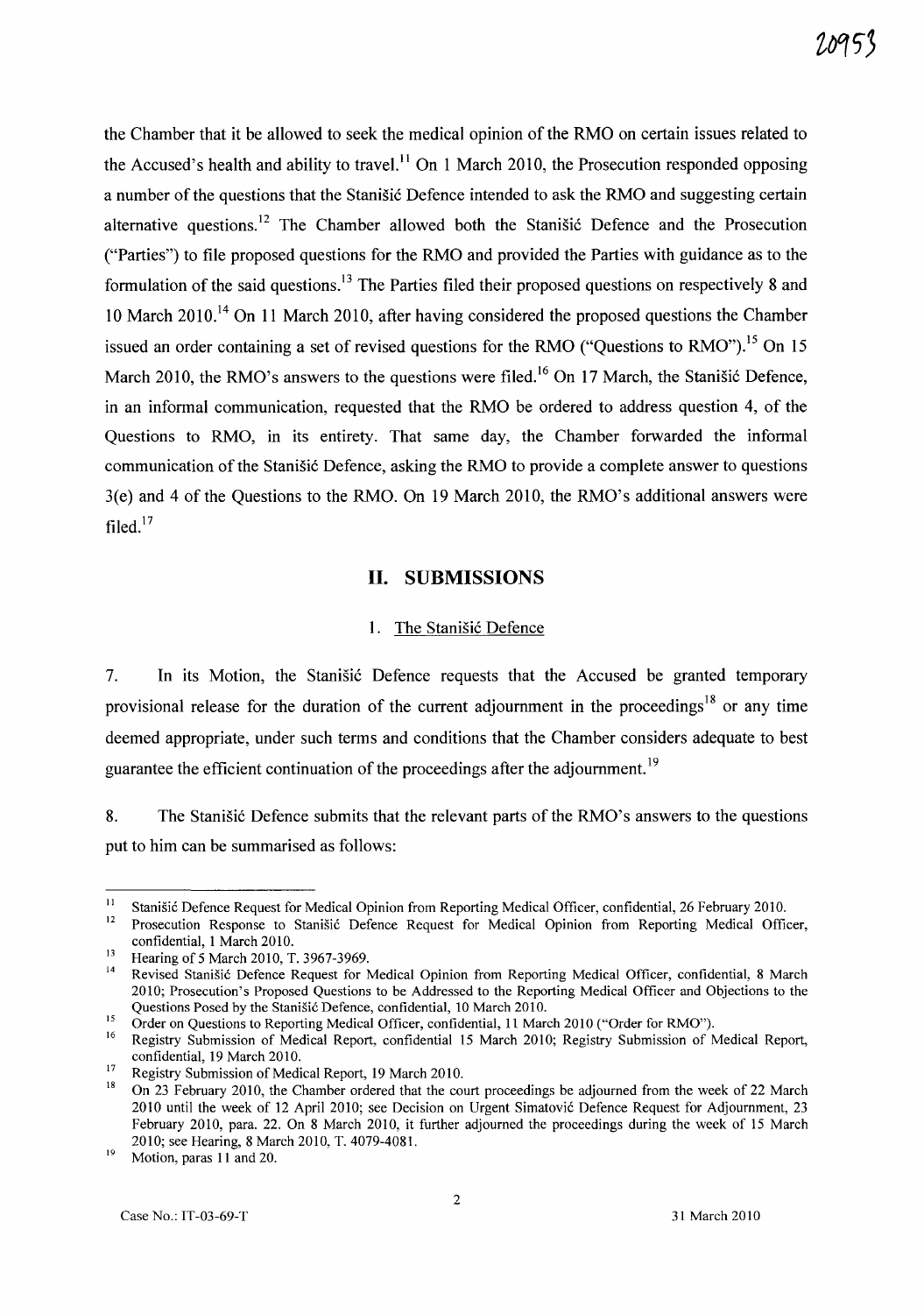the Chamber that it be allowed to seek the medical opinion of the RMO on certain issues related to the Accused's health and ability to travel.<sup>11</sup> On 1 March 2010, the Prosecution responded opposing a number of the questions that the Stanisic Defence intended to ask the RMO and suggesting certain alternative questions.<sup>12</sup> The Chamber allowed both the Stanišić Defence and the Prosecution ("Parties") to file proposed questions for the RMO and provided the Parties with guidance as to the formulation of the said questions.<sup>13</sup> The Parties filed their proposed questions on respectively 8 and 10 March 2010.<sup>14</sup> On 11 March 2010, after having considered the proposed questions the Chamber issued an order containing a set of revised questions for the RMO ("Ouestions to RMO").<sup>15</sup> On 15 March 2010, the RMO's answers to the questions were filed.<sup>16</sup> On 17 March, the Stanisic Defence, in an informal communication, requested that the RMO be ordered to address question 4, of the Questions to RMO, in its entirety. That same day, the Chamber forwarded the informal communication of the Stanišić Defence, asking the RMO to provide a complete answer to questions 3(e) and 4 of the Questions to the RMO. On 19 March 2010, the RMO's additional answers were filed. $17$ 

#### **11. SUBMISSIONS**

#### 1. The Stanišić Defence

7. In its Motion, the Stanisić Defence requests that the Accused be granted temporary provisional release for the duration of the current adjournment in the proceedings<sup>18</sup> or any time deemed appropriate, under such terms and conditions that the Chamber considers adequate to best guarantee the efficient continuation of the proceedings after the adjournment.<sup>19</sup>

8. The Stanisic Defence submits that the relevant parts of the RMO's answers to the questions put to him can be summarised as follows:

<sup>&</sup>lt;sup>11</sup> Stanišić Defence Request for Medical Opinion from Reporting Medical Officer, confidential, 26 February 2010.

Prosecution Response to Stanišić Defence Request for Medical Opinion from Reporting Medical Officer, confidential, 1 March 2010.

 $\frac{13}{14}$  Hearing of 5 March 2010, T. 3967-3969.

Revised Stanišić Defence Request for Medical Opinion from Reporting Medical Officer, confidential, 8 March 2010; Prosecution's Proposed Questions to be Addressed to the Reporting Medical Officer and Objections to the Questions Posed by the Stanišić Defence, confidential, 10 March 2010.

<sup>&</sup>lt;sup>15</sup> Order on Questions to Reporting Medical Officer, confidential, 11 March 2010 ("Order for RMO").

<sup>16</sup> Registry Submission of Medical Report, confidential 15 March 2010; Registry Submission of Medical Report, confidential, 19 March 2010.

<sup>&</sup>lt;sup>17</sup> Registry Submission of Medical Report, 19 March 2010.<br><sup>18</sup> On <sup>22</sup> February 2010, the Chamber ardened that the equ

<sup>18</sup> On 23 February 2010, the Chamber ordered that the court proceedings be adjourned from the week of 22 March 2010 until the week of 12 April 2010; see Decision on Urgent Simatovic Defence Request for Adjournment, 23 February 2010, para. 22. On 8 March 2010, it further adjourned the proceedings during the week of 15 March 2010; see Hearing, 8 March 2010, T. 4079-4081.

 $19$  Motion, paras 11 and 20.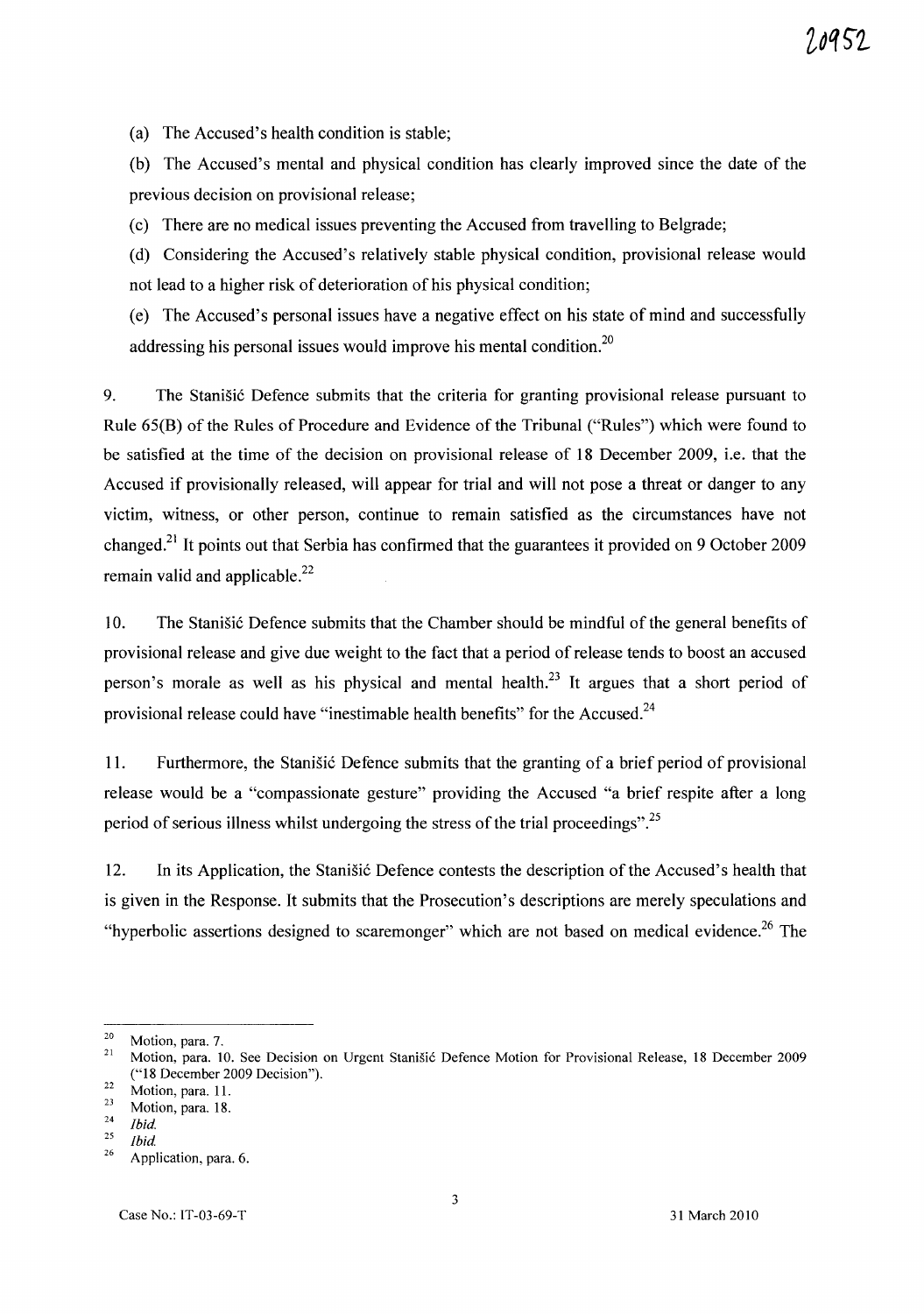7 8952

(a) The Accused's health condition is stable;

(b) The Accused's mental and physical condition has clearly improved since the date of the previous decision on provisional release;

(c) There are no medical issues preventing the Accused from travelling to Belgrade;

(d) Considering the Accused's relatively stable physical condition, provisional release would not lead to a higher risk of deterioration of his physical condition;

(e) The Accused's personal issues have a negative effect on his state of mind and successfully addressing his personal issues would improve his mental condition.<sup>20</sup>

9. The Stanisic Defence submits that the criteria for granting provisional release pursuant to Rule 65(B) of the Rules of Procedure and Evidence of the Tribunal ("Rules") which were found to be satisfied at the time of the decision on provisional release of 18 December 2009, i.e. that the Accused if provisionally released, will appear for trial and will not pose a threat or danger to any victim, witness, or other person, continue to remain satisfied as the circumstances have not changed.<sup>21</sup> It points out that Serbia has confirmed that the guarantees it provided on 9 October 2009 remain valid and applicable. $^{22}$ 

10. The Stanisić Defence submits that the Chamber should be mindful of the general benefits of provisional release and give due weight to the fact that a period of release tends to boost an accused person's morale as well as his physical and mental health.<sup>23</sup> It argues that a short period of provisional release could have "inestimable health benefits" for the Accused.<sup>24</sup>

11. Furthermore, the Stanisic Defence submits that the granting of a brief period of provisional release would be a "compassionate gesture" providing the Accused "a brief respite after a long period of serious illness whilst undergoing the stress of the trial proceedings".<sup>25</sup>

12. In its Application, the Stanisic Defence contests the description of the Accused's health that is given in the Response. It submits that the Prosecution's descriptions are merely speculations and "hyperbolic assertions designed to scaremonger" which are not based on medical evidence.<sup>26</sup> The

 $\frac{20}{21}$  Motion, para. 7.

<sup>21</sup> Motion, para. 10. See Decision on Urgent StaniSic Defence Motion for Provisional Release, 18 December 2009 ("18 December 2009 Decision").

 $\frac{22}{23}$  Motion, para. 11.

 $\frac{23}{24}$  Motion, para. 18.

 $\frac{24}{25}$  *Ibid. <u>Ibid</u>* 

<sup>&</sup>lt;sup>26</sup> Application, para. 6.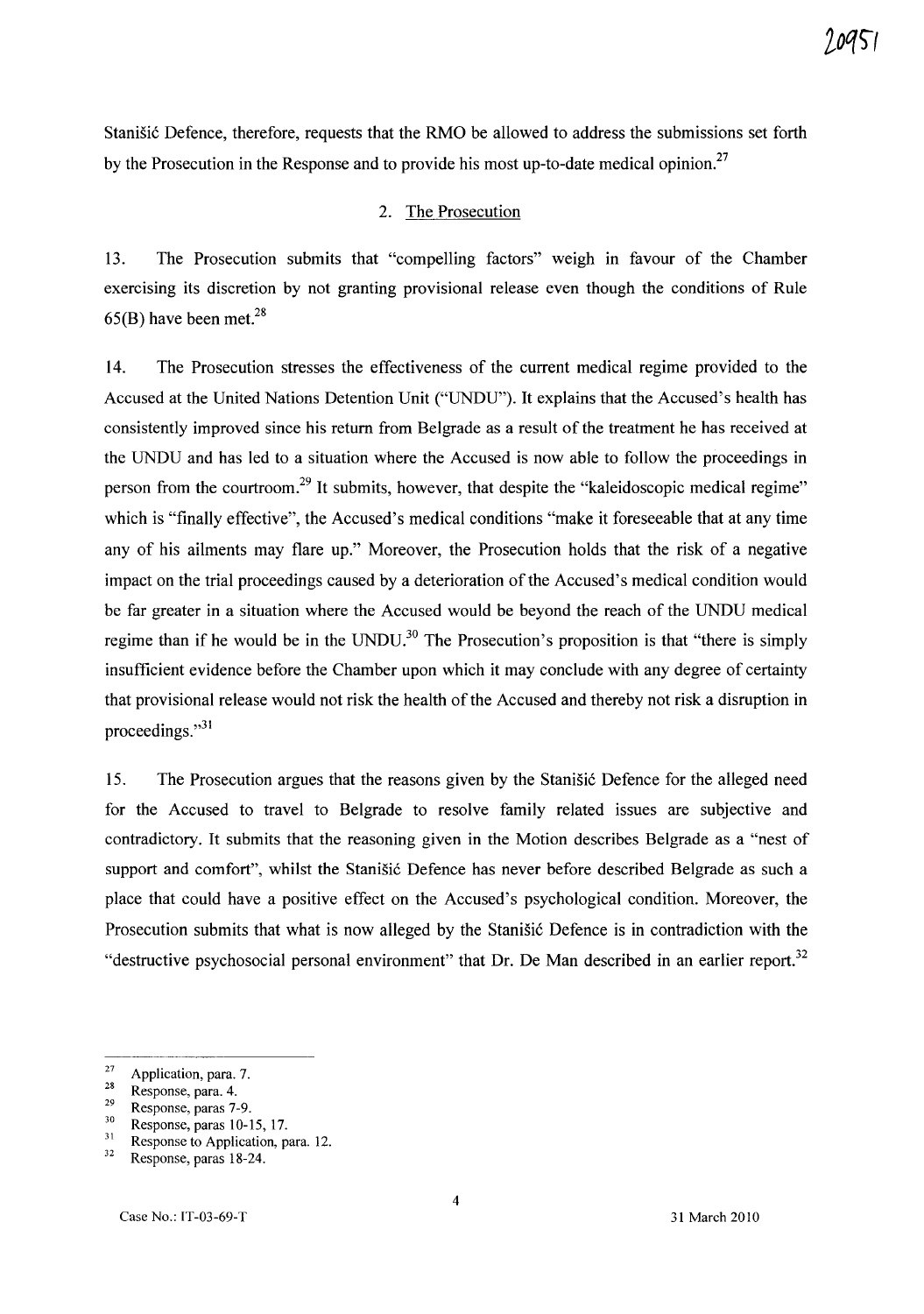Stanišić Defence, therefore, requests that the RMO be allowed to address the submissions set forth by the Prosecution in the Response and to provide his most up-to-date medical opinion.<sup>27</sup>

#### 2. The Prosecution

13. The Prosecution submits that "compelling factors" weigh in favour of the Chamber exercising its discretion by not granting provisional release even though the conditions of Rule  $65(B)$  have been met.<sup>28</sup>

14. The Prosecution stresses the effectiveness of the current medical regime provided to the Accused at the United Nations Detention Unit ("UNDU"). It explains that the Accused's health has consistently improved since his return from Belgrade as a result of the treatment he has received at the UNDU and has led to a situation where the Accused is now able to follow the proceedings in person from the courtroom.<sup>29</sup> It submits, however, that despite the "kaleidoscopic medical regime" which is "finally effective", the Accused's medical conditions "make it foreseeable that at any time any of his ailments may flare up." Moreover, the Prosecution holds that the risk of a negative impact on the trial proceedings caused by a deterioration of the Accused's medical condition would be far greater in a situation where the Accused would be beyond the reach of the UNDU medical regime than if he would be in the UNDU.<sup>30</sup> The Prosecution's proposition is that "there is simply insufficient evidence before the Chamber upon which it may conclude with any degree of certainty that provisional release would not risk the health of the Accused and thereby not risk a disruption in proceedings. $"31$ 

15. The Prosecution argues that the reasons given by the Stanisic Defence for the alleged need for the Accused to travel to Belgrade to resolve family related issues are subjective and contradictory. It submits that the reasoning given in the Motion describes Belgrade as a "nest of support and comfort", whilst the Stanišić Defence has never before described Belgrade as such a place that could have a positive effect on the Accused's psychological condition. Moreover, the Prosecution submits that what is now alleged by the Stanisic Defence is in contradiction with the "destructive psychosocial personal environment" that Dr. De Man described in an earlier report.<sup>32</sup>

 $\frac{27}{28}$  Application, para. 7.

 $\frac{28}{29}$  Response, para. 4.

 $\frac{29}{30}$  Response, paras 7-9.

 $30$  Response, paras 10-15, 17.

 $\frac{31}{32}$  Response to Application, para. 12.

Response, paras 18-24.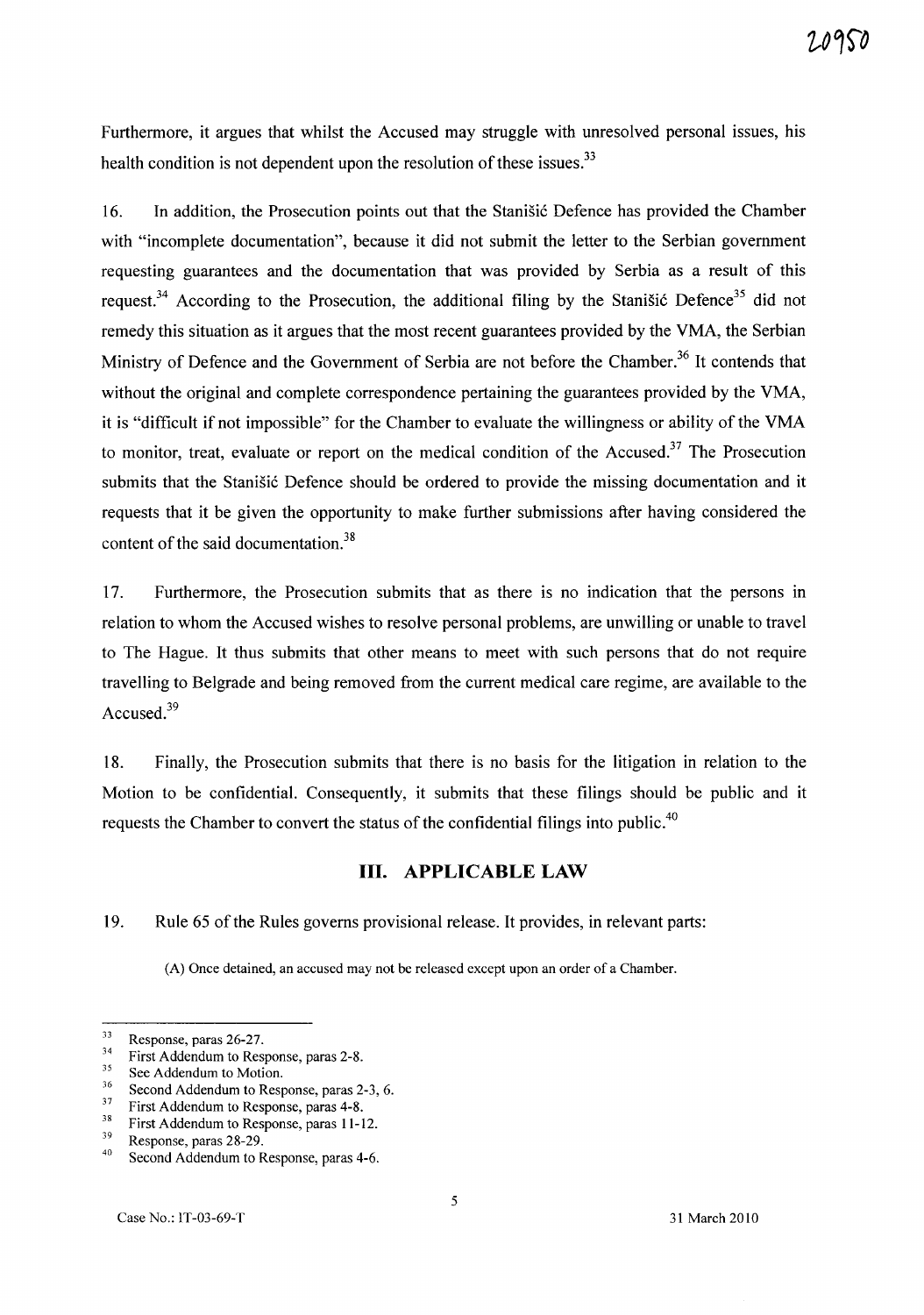Furthermore, it argues that whilst the Accused may struggle with unresolved personal issues, his health condition is not dependent upon the resolution of these issues.<sup>33</sup>

16. In addition, the Prosecution points out that the Stanistic Defence has provided the Chamber with "incomplete documentation", because it did not submit the letter to the Serbian government requesting guarantees and the documentation that was provided by Serbia as a result of this request.<sup>34</sup> According to the Prosecution, the additional filing by the Stanisic Defence<sup>35</sup> did not remedy this situation as it argues that the most recent guarantees provided by the VMA, the Serbian Ministry of Defence and the Government of Serbia are not before the Chamber.<sup>36</sup> It contends that without the original and complete correspondence pertaining the guarantees provided by the VMA, it is "difficult if not impossible" for the Chamber to evaluate the willingness or ability of the VMA to monitor, treat, evaluate or report on the medical condition of the Accused.<sup>37</sup> The Prosecution submits that the Stanišić Defence should be ordered to provide the missing documentation and it requests that it be given the opportunity to make further submissions after having considered the content of the said documentation.<sup>38</sup>

17. Furthermore, the Prosecution submits that as there is no indication that the persons in relation to whom the Accused wishes to resolve personal problems, are unwilling or unable to travel to The Hague. It thus submits that other means to meet with such persons that do not require travelling to Belgrade and being removed from the current medical care regime, are available to the Accused.<sup>39</sup>

18. Finally, the Prosecution submits that there is no basis for the litigation in relation to the Motion to be confidential. Consequently, it submits that these filings should be public and it requests the Chamber to convert the status of the confidential filings into public.<sup>40</sup>

### **Ill. APPLICABLE LAW**

19. Rule 65 of the Rules governs provisional release. It provides, in relevant parts:

(A) Once detained, an accused may not be released except upon an order of a Chamber.

 $3^3$  First Addendum to Response, paras 2-8.

 $rac{33}{34}$  Response, paras 26-27.

 $35$  See Addendum to Motion.

 $^{36}$  Second Addendum to Response, paras 2-3, 6.<br> $^{37}$  Einst Addendum to Bernards are at  $^{4}$ 

 $3^3$  First Addendum to Response, paras 4-8.

 $3^3$  First Addendum to Response, paras 11-12.<br> $3^9$  Bennese, name 28.20

 $^{39}$  Response, paras 28-29.

Second Addendum to Response, paras 4-6.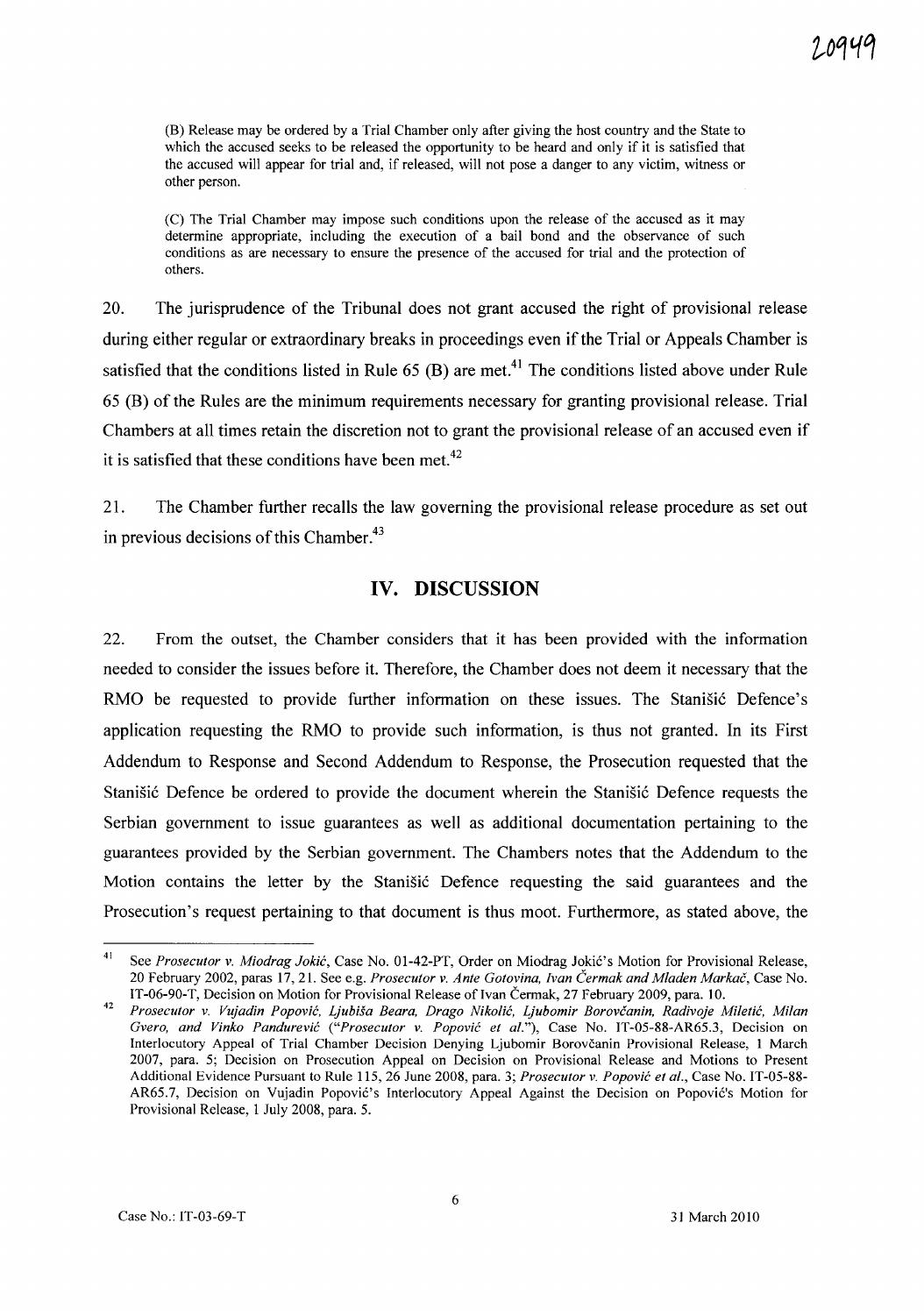(B) Release may be ordered by a Trial Chamber only after giving the host country and the State to which the accused seeks to be released the opportunity to be heard and only if it is satisfied that the accused will appear for trial and, if released, will not pose a danger to any victim, witness or other person.

(C) The Trial Chamber may impose such conditions upon the release of the accused as it may determine appropriate, including the execution of a bail bond and the observance of such conditions as are necessary to ensure the presence of the accused for trial and the protection of others.

20. The jurisprudence of the Tribunal does not grant accused the right of provisional release during either regular or extraordinary breaks in proceedings even if the Trial or Appeals Chamber is satisfied that the conditions listed in Rule  $65$  (B) are met.<sup>41</sup> The conditions listed above under Rule 65 CB) of the Rules are the minimum requirements necessary for granting provisional release. Trial Chambers at all times retain the discretion not to grant the provisional release of an accused even if it is satisfied that these conditions have been met.<sup>42</sup>

21. The Chamber further recalls the law governing the provisional release procedure as set out in previous decisions of this Chamber.<sup>43</sup>

#### **IV. DISCUSSION**

22. From the outset, the Chamber considers that it has been provided with the information needed to consider the issues before it. Therefore, the Chamber does not deem it necessary that the RMO be requested to provide further information on these issues. The Stanisic Defence's application requesting the RMO to provide such information, is thus not granted. **In** its First Addendum to Response and Second Addendum to Response, the Prosecution requested that the Stanišić Defence be ordered to provide the document wherein the Stanišić Defence requests the Serbian government to issue guarantees as well as additional documentation pertaining to the guarantees provided by the Serbian government. The Chambers notes that the Addendum to the Motion contains the letter by the StaniSic Defence requesting the said guarantees and the Prosecution's request pertaining to that document is thus moot. Furthermore, as stated above, the

<sup>&</sup>lt;sup>41</sup> See *Prosecutor v. Miodrag Jokić*, Case No. 01-42-PT, Order on Miodrag Jokić's Motion for Provisional Release, 20 February 2002, paras 17,21. See e.g. *Prosecutor* v. *Ante Gotovina, [van Cermak and Mladen Markac,* Case No. IT-06-90-T, Decision on Motion for Provisional Release of Ivan Čermak, 27 February 2009, para. 10.

*<sup>42</sup> Prosecutor* v. *Vujadin Popovic, Ljubisa Beara, Drago Nikolic, Ljubomir Borovcanin, Radivoje Miletic, Milan Gvero, and Vinko Pandurevic ("Prosecutor* v. *Popovic et al."),* Case No. IT-OS-88-AR6S.3, Decision on Interlocutory Appeal of Trial Chamber Decision Denying Ljubomir Borovcanin Provisional Release, 1 March 2007, para. S; Decision on Prosecution Appeal on Decision on Provisional Release and Motions to Present Additional Evidence Pursuant to Rule *lIS,* 26 June 2008, para. 3; *Prosecutor* v. *Popovic et al.,* Case No. IT-OS-88- AR65.7, Decision on Vujadin Popović's Interlocutory Appeal Against the Decision on Popović's Motion for Provisional Release, 1 July 2008, para. 5.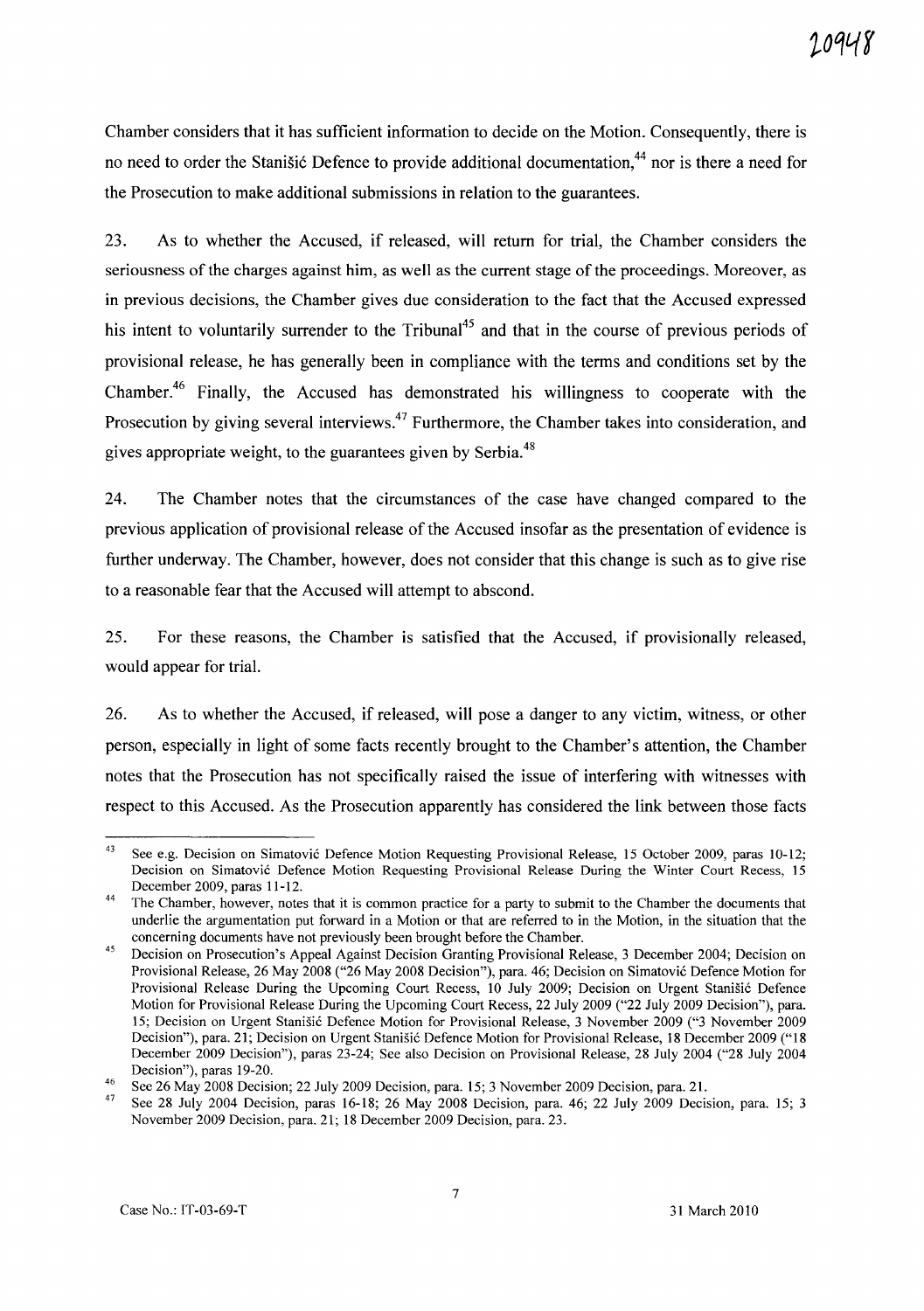Chamber considers that it has sufficient information to decide on the Motion. Consequently, there is no need to order the Stanisic Defence to provide additional documentation.<sup>44</sup> nor is there a need for the Prosecution to make additional submissions in relation to the guarantees.

23. As to whether the Accused, if released, will return for trial, the Chamber considers the seriousness of the charges against him, as well as the current stage of the proceedings. Moreover, as in previous decisions, the Chamber gives due consideration to the fact that the Accused expressed his intent to voluntarily surrender to the Tribunal<sup>45</sup> and that in the course of previous periods of provisional release, he has generally been in compliance with the terms and conditions set by the Chamber.<sup>46</sup> Finally, the Accused has demonstrated his willingness to cooperate with the Prosecution by giving several interviews.<sup>47</sup> Furthermore, the Chamber takes into consideration, and gives appropriate weight, to the guarantees given by Serbia.<sup>48</sup>

24. The Chamber notes that the circumstances of the case have changed compared to the previous application of provisional release of the Accused insofar as the presentation of evidence is further underway. The Chamber, however, does not consider that this change is such as to give rise to a reasonable fear that the Accused will attempt to abscond.

25. For these reasons, the Chamber is satisfied that the Accused, if provisionally released, would appear for trial.

26. As to whether the Accused, if released, will pose a danger to any victim, witness, or other person, especially in light of some facts recently brought to the Chamber's attention, the Chamber notes that the Prosecution has not specifically raised the issue of interfering with witnesses with respect to this Accused. As the Prosecution apparently has considered the link between those facts

<sup>43</sup>  See e.g. Decision on Simatovic Defence Motion Requesting Provisional Release, 15 October 2009, paras 10-12; Decision on Simatovic Defence Motion Requesting Provisional Release During the Winter Court Recess, 15 December 2009, paras 11-12.

<sup>44</sup>  The Chamber, however, notes that it is common practice for a party to submit to the Chamber the documents that underlie the argumentation put forward in a Motion or that are referred to in the Motion, in the situation that the concerning documents have not previously been brought before the Chamber.

<sup>45</sup>  Decision on Prosecution's Appeal Against Decision Granting Provisional Release, 3 December 2004; Decision on Provisional Release, 26 May 2008 ("26 May 2008 Decision"), para. 46; Decision on Simatović Defence Motion for Provisional Release During the Upcoming Court Recess, 10 July 2009; Decision on Urgent Stanišić Defence Motion for Provisional Release During the Upcoming Court Recess, 22 July 2009 ("22 July 2009 Decision"), para. 15; Decision on Urgent Stanišić Defence Motion for Provisional Release, 3 November 2009 ("3 November 2009 Decision"), para. 21; Decision on Urgent Stanisic Defence Motion for Provisional Release, 18 December 2009 ("18 December 2009 Decision"), paras 23-24; See also Decision on Provisional Release, 28 July 2004 ("28 July 2004 Decision"), paras 19-20.

<sup>46</sup>  See 26 May 2008 Decision; 22 July 2009 Decision, para. 15; 3 November 2009 Decision, para. 21.

<sup>47</sup>  See 28 July 2004 Decision, paras 16-18; 26 May 2008 Decision, para. 46; 22 July 2009 Decision, para. 15; 3 November 2009 Decision, para. 21; 18 December 2009 Decision, para. 23.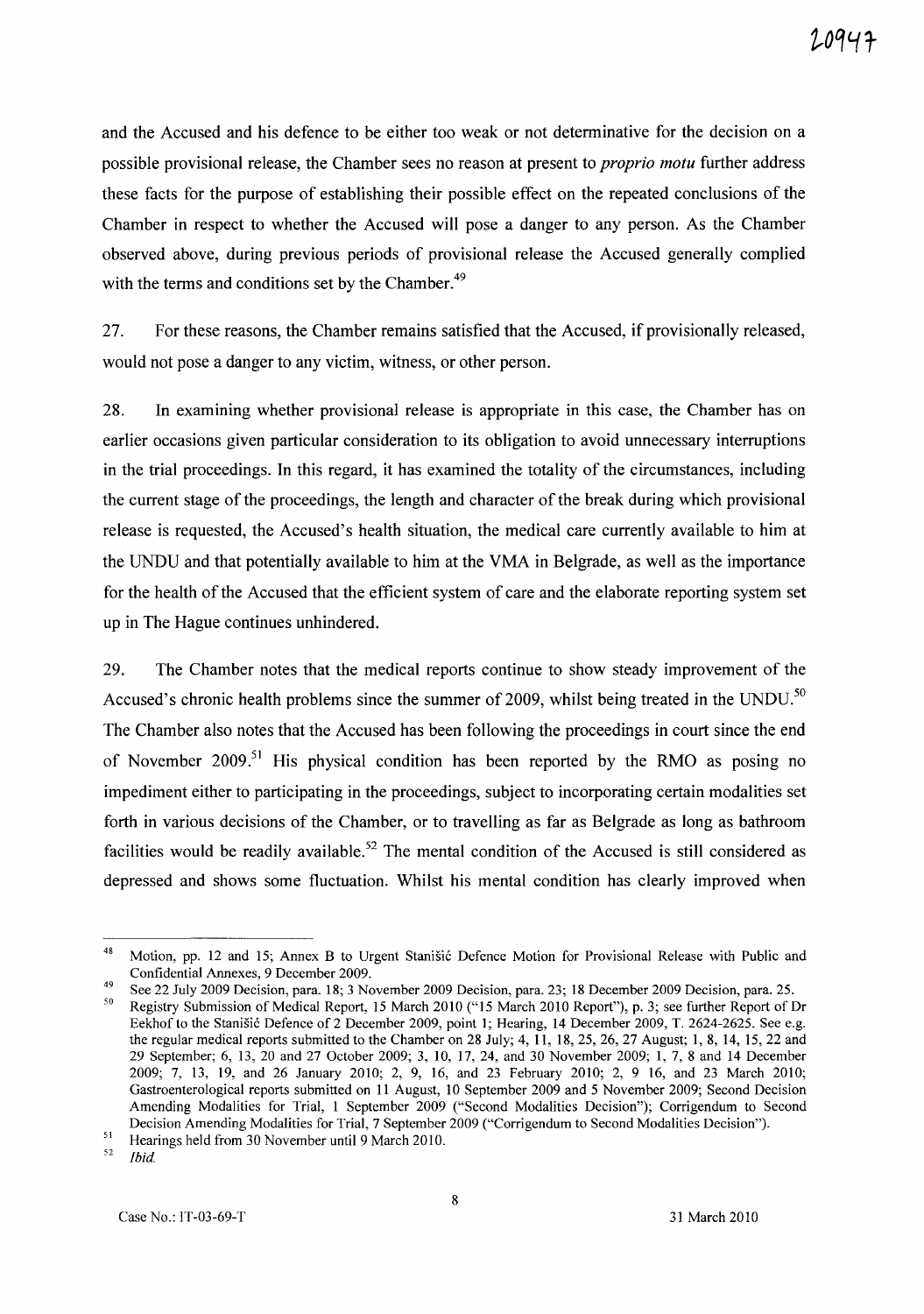and the Accused and his defence to be either too weak or not determinative for the decision on a possible provisional release, the Chamber sees no reason at present to *proprio motu* further address these facts for the purpose of establishing their possible effect on the repeated conclusions of the Chamber in respect to whether the Accused will pose a danger to any person. As the Chamber observed above, during previous periods of provisional release the Accused generally complied with the terms and conditions set by the Chamber.<sup>49</sup>

27. For these reasons, the Chamber remains satisfied that the Accused, if provisionally released, would not pose a danger to any victim, witness, or other person.

28. In examining whether provisional release is appropriate in this case, the Chamber has on earlier occasions given particular consideration to its obligation to avoid unnecessary interruptions in the trial proceedings. In this regard, it has examined the totality of the circumstances, including the current stage of the proceedings, the length and character of the break during which provisional release is requested, the Accused's health situation, the medical care currently available to him at the UNDU and that potentially available to him at the VMA in Belgrade, as well as the importance for the health of the Accused that the efficient system of care and the elaborate reporting system set up in The Hague continues unhindered.

29. The Chamber notes that the medical reports continue to show steady improvement of the Accused's chronic health problems since the summer of 2009, whilst being treated in the UNDU.<sup>50</sup> The Chamber also notes that the Accused has been following the proceedings in court since the end of November 2009.<sup>51</sup> His physical condition has been reported by the RMO as posing no impediment either to participating in the proceedings, subject to incorporating certain modalities set forth in various decisions of the Chamber, or to travelling as far as Belgrade as long as bathroom facilities would be readily available.<sup>52</sup> The mental condition of the Accused is still considered as depressed and shows some fluctuation. Whilst his mental condition has clearly improved when

*52 [bid* 

<sup>&</sup>lt;sup>48</sup> Motion, pp. 12 and 15; Annex B to Urgent Stanišić Defence Motion for Provisional Release with Public and Confidential Annexes, 9 December 2009.

<sup>&</sup>lt;sup>49</sup> See 22 July 2009 Decision, para. 18; 3 November 2009 Decision, para. 23; 18 December 2009 Decision, para. 25.

<sup>50</sup> Registry Submission of Medical Report, 15 March 2010 ("15 March 2010 Report"), p. 3; see further Report of Dr Eekhof to the Stanišić Defence of 2 December 2009, point 1; Hearing, 14 December 2009, T. 2624-2625. See e.g. the regular medical reports submitted to the Chamber on 28 July; 4, 11, 18,25,26,27 August; 1,8, 14, 15,22 and 29 September; 6, 13, 20 and 27 October 2009; 3, 10, 17, 24, and 30 November 2009; 1, 7, 8 and 14 December 2009; 7, 13, 19, and 26 January 2010; 2, 9, 16, and 23 February 2010; 2, 9 16, and 23 March 2010; Gastroenterological reports submitted on 11 August, 10 September 2009 and 5 November 2009; Second Decision Amending Modalities for Trial, 1 September 2009 ("Second Modalities Decision"); Corrigendum to Second Decision Amending Modalities for Trial, 7 September 2009 ("Corrigendum to Second Modalities Decision").

<sup>51</sup>  Hearings held from 30 November until 9 March 2010.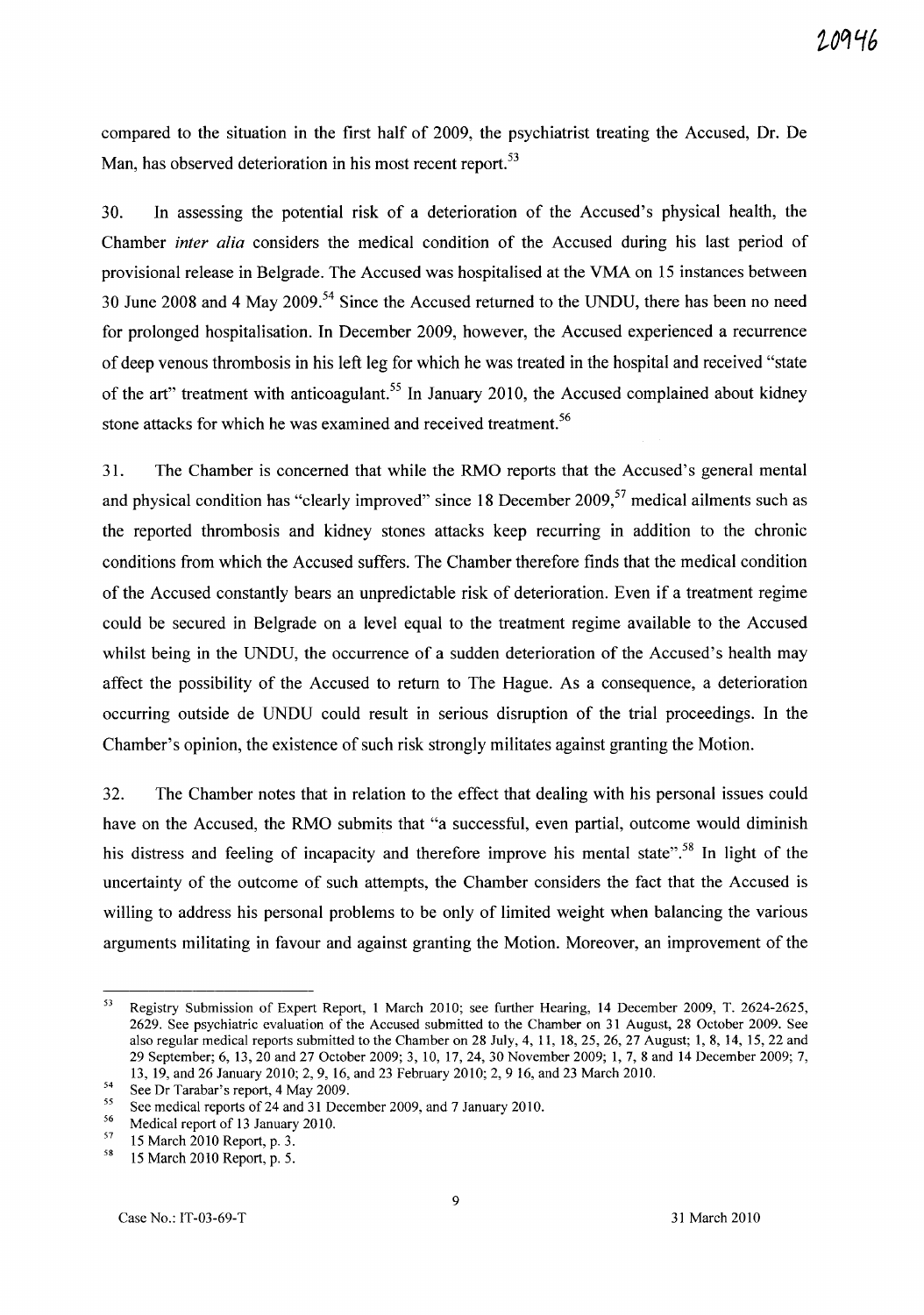compared to the situation in the first half of 2009, the psychiatrist treating the Accused, Dr. De Man, has observed deterioration in his most recent report.<sup>53</sup>

30. In assessing the potential risk of a deterioration of the Accused's physical health, the Chamber *inter alia* considers the medical condition of the Accused during his last period of provisional release in Belgrade. The Accused was hospitalised at the VMA on 15 instances between 30 June 2008 and 4 May 2009.<sup>54</sup> Since the Accused returned to the UNDU, there has been no need for prolonged hospitalisation. In December 2009, however, the Accused experienced a recurrence of deep venous thrombosis in his left leg for which he was treated in the hospital and received "state of the art" treatment with anticoagulant.<sup>55</sup> In January 2010, the Accused complained about kidney stone attacks for which he was examined and received treatment.<sup>56</sup>

31. The Chamber is concerned that while the RMO reports that the Accused's general mental and physical condition has "clearly improved" since 18 December 2009, $57$  medical ailments such as the reported thrombosis and kidney stones attacks keep recurring in addition to the chronic conditions from which the Accused suffers. The Chamber therefore finds that the medical condition of the Accused constantly bears an unpredictable risk of deterioration. Even if a treatment regime could be secured in Belgrade on a level equal to the treatment regime available to the Accused whilst being in the UNDU, the occurrence of a sudden deterioration of the Accused's health may affect the possibility of the Accused to return to The Hague. As a consequence, a deterioration occurring outside de UNDU could result in serious disruption of the trial proceedings. In the Chamber's opinion, the existence of such risk strongly militates against granting the Motion.

32. The Chamber notes that in relation to the effect that dealing with his personal issues could have on the Accused, the RMO submits that "a successful, even partial, outcome would diminish his distress and feeling of incapacity and therefore improve his mental state".<sup>58</sup> In light of the uncertainty of the outcome of such attempts, the Chamber considers the fact that the Accused is willing to address his personal problems to be only of limited weight when balancing the various arguments militating in favour and against granting the Motion. Moreover, an improvement of the

<sup>53</sup> Registry Submission of Expert Report, 1 March 2010; see further Hearing, 14 December 2009, T. 2624-2625, 2629. See psychiatric evaluation of the Accused submitted to the Chamber on 31 August, 28 October 2009. See also regular medical reports submitted to the Chamber on 28 July, 4, 11, 18,25,26,27 August; 1,8, 14, 15,22 and 29 September; 6, l3, 20 and 27 October 2009; 3, 10, 17,24,30 November 2009; 1,7,8 and 14 December 2009; 7, l3, 19, and 26 January 2010; 2, 9, 16, and 23 February 2010; 2, 9 16, and 23 March 2010.

 $54$  See Dr Tarabar's report, 4 May 2009.

<sup>&</sup>lt;sup>55</sup> See medical reports of 24 and 31 December 2009, and 7 January 2010.

<sup>&</sup>lt;sup>56</sup> Medical report of 13 January 2010.<br> $\frac{57}{15}$  15 March 2010 Banart n <sup>2</sup>

 $^{57}$  15 March 2010 Report, p. 3.<br> $^{58}$  15 March 2010 Report p. 5.

<sup>58 15</sup> March 2010 Report, p. 5.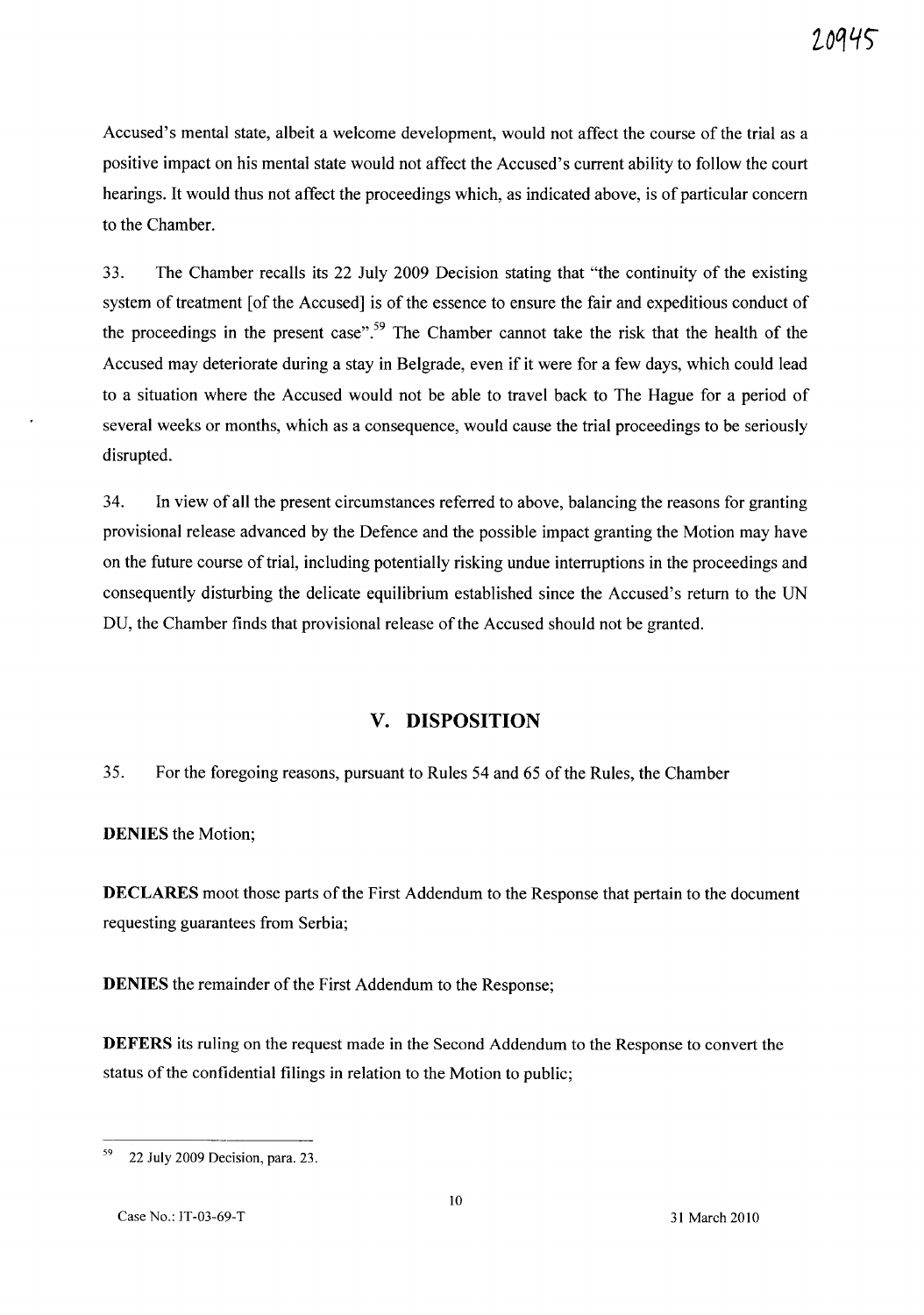Accused's mental state, albeit a welcome development, would not affect the course of the trial as a positive impact on his mental state would not affect the Accused's current ability to follow the court hearings. It would thus not affect the proceedings which, as indicated above, is of particular concern to the Chamber.

33. The Chamber recalls its 22 July 2009 Decision stating that "the continuity of the existing system of treatment [of the Accused] is of the essence to ensure the fair and expeditious conduct of the proceedings in the present case".<sup>59</sup> The Chamber cannot take the risk that the health of the Accused may deteriorate during a stay in Belgrade, even if it were for a few days, which could lead to a situation where the Accused would not be able to travel back to The Hague for a period of several weeks or months, which as a consequence, would cause the trial proceedings to be seriously disrupted.

34. In view of all the present circumstances referred to above, balancing the reasons for granting provisional release advanced by the Defence and the possible impact granting the Motion may have on the future course of trial, including potentially risking undue interruptions in the proceedings and consequently disturbing the delicate equilibrium established since the Accused's return to the UN DU, the Chamber finds that provisional release of the Accused should not be granted.

# **v. DISPOSITION**

35. For the foregoing reasons, pursuant to Rules 54 and 65 of the Rules, the Chamber

**DENIES** the Motion;

**DECLARES** moot those parts of the First Addendum to the Response that pertain to the document requesting guarantees from Serbia;

**DENIES** the remainder of the First Addendum to the Response;

**DEFERS** its ruling on the request made in the Second Addendum to the Response to convert the status of the confidential filings in relation to the Motion to public;

<sup>59 22</sup> July 2009 Decision, para. 23.